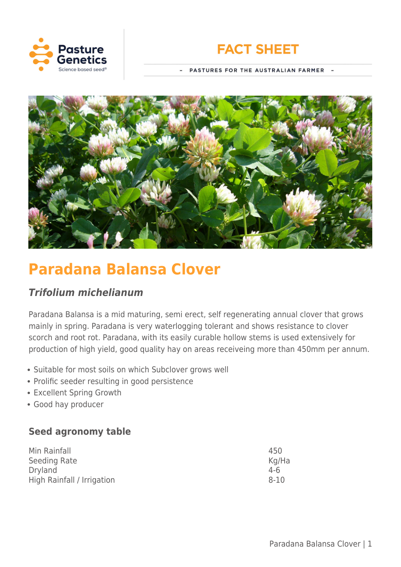



PASTURES FOR THE AUSTRALIAN FARMER -



# **Paradana Balansa Clover**

# *Trifolium michelianum*

Paradana Balansa is a mid maturing, semi erect, self regenerating annual clover that grows mainly in spring. Paradana is very waterlogging tolerant and shows resistance to clover scorch and root rot. Paradana, with its easily curable hollow stems is used extensively for production of high yield, good quality hay on areas receiveing more than 450mm per annum.

- Suitable for most soils on which Subclover grows well
- Prolific seeder resulting in good persistence
- Excellent Spring Growth
- Good hay producer

# **Seed agronomy table**

| Min Rainfall               | 450      |
|----------------------------|----------|
| Seeding Rate               | Kg/Ha    |
| Dryland                    | $4-6$    |
| High Rainfall / Irrigation | $8 - 10$ |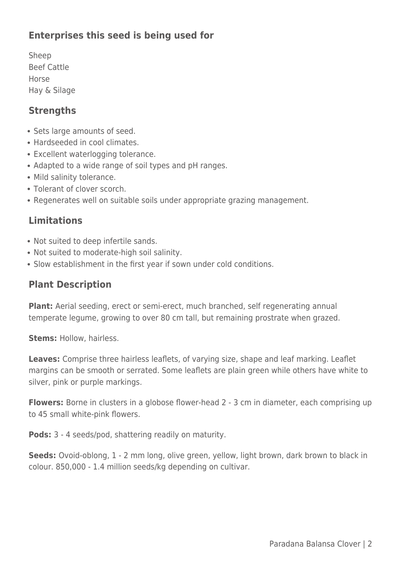# **Enterprises this seed is being used for**

Sheep Beef Cattle Horse Hay & Silage

#### **Strengths**

- Sets large amounts of seed.
- Hardseeded in cool climates.
- Excellent waterlogging tolerance.
- Adapted to a wide range of soil types and pH ranges.
- Mild salinity tolerance.
- Tolerant of clover scorch.
- Regenerates well on suitable soils under appropriate grazing management.

### **Limitations**

- Not suited to deep infertile sands.
- Not suited to moderate-high soil salinity.
- Slow establishment in the first year if sown under cold conditions.

### **Plant Description**

**Plant:** Aerial seeding, erect or semi-erect, much branched, self regenerating annual temperate legume, growing to over 80 cm tall, but remaining prostrate when grazed.

**Stems:** Hollow, hairless.

**Leaves:** Comprise three hairless leaflets, of varying size, shape and leaf marking. Leaflet margins can be smooth or serrated. Some leaflets are plain green while others have white to silver, pink or purple markings.

**Flowers:** Borne in clusters in a globose flower-head 2 - 3 cm in diameter, each comprising up to 45 small white-pink flowers.

**Pods:** 3 - 4 seeds/pod, shattering readily on maturity.

**Seeds:** Ovoid-oblong, 1 - 2 mm long, olive green, yellow, light brown, dark brown to black in colour. 850,000 - 1.4 million seeds/kg depending on cultivar.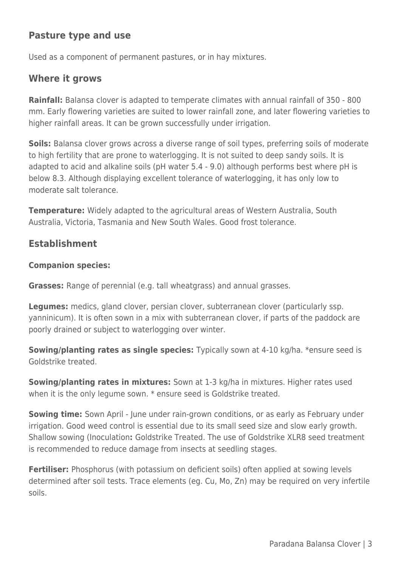## **Pasture type and use**

Used as a component of permanent pastures, or in hay mixtures.

#### **Where it grows**

**Rainfall:** Balansa clover is adapted to temperate climates with annual rainfall of 350 - 800 mm. Early flowering varieties are suited to lower rainfall zone, and later flowering varieties to higher rainfall areas. It can be grown successfully under irrigation.

**Soils:** Balansa clover grows across a diverse range of soil types, preferring soils of moderate to high fertility that are prone to waterlogging. It is not suited to deep sandy soils. It is adapted to acid and alkaline soils (pH water 5.4 - 9.0) although performs best where pH is below 8.3. Although displaying excellent tolerance of waterlogging, it has only low to moderate salt tolerance.

**Temperature:** Widely adapted to the agricultural areas of Western Australia, South Australia, Victoria, Tasmania and New South Wales. Good frost tolerance.

#### **Establishment**

#### **Companion species:**

**Grasses:** Range of perennial (e.g. tall wheatgrass) and annual grasses.

**Legumes:** medics, gland clover, persian clover, subterranean clover (particularly ssp. yanninicum). It is often sown in a mix with subterranean clover, if parts of the paddock are poorly drained or subject to waterlogging over winter.

**Sowing/planting rates as single species:** Typically sown at 4-10 kg/ha. \*ensure seed is Goldstrike treated.

**Sowing/planting rates in mixtures:** Sown at 1-3 kg/ha in mixtures. Higher rates used when it is the only legume sown. \* ensure seed is Goldstrike treated.

**Sowing time:** Sown April - June under rain-grown conditions, or as early as February under irrigation. Good weed control is essential due to its small seed size and slow early growth. Shallow sowing (Inoculation**:** Goldstrike Treated. The use of Goldstrike XLR8 seed treatment is recommended to reduce damage from insects at seedling stages.

**Fertiliser:** Phosphorus (with potassium on deficient soils) often applied at sowing levels determined after soil tests. Trace elements (eg. Cu, Mo, Zn) may be required on very infertile soils.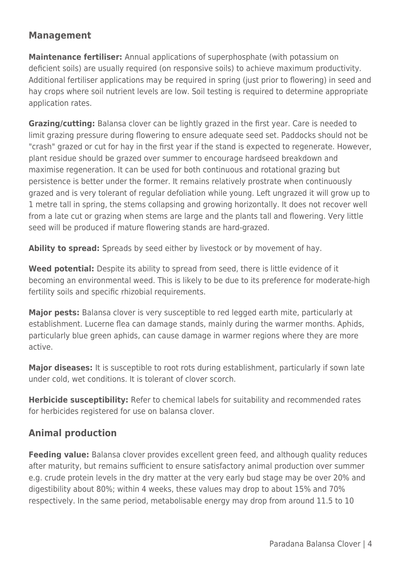# **Management**

**Maintenance fertiliser:** Annual applications of superphosphate (with potassium on deficient soils) are usually required (on responsive soils) to achieve maximum productivity. Additional fertiliser applications may be required in spring (just prior to flowering) in seed and hay crops where soil nutrient levels are low. Soil testing is required to determine appropriate application rates.

**Grazing/cutting:** Balansa clover can be lightly grazed in the first year. Care is needed to limit grazing pressure during flowering to ensure adequate seed set. Paddocks should not be "crash" grazed or cut for hay in the first year if the stand is expected to regenerate. However, plant residue should be grazed over summer to encourage hardseed breakdown and maximise regeneration. It can be used for both continuous and rotational grazing but persistence is better under the former. It remains relatively prostrate when continuously grazed and is very tolerant of regular defoliation while young. Left ungrazed it will grow up to 1 metre tall in spring, the stems collapsing and growing horizontally. It does not recover well from a late cut or grazing when stems are large and the plants tall and flowering. Very little seed will be produced if mature flowering stands are hard-grazed.

**Ability to spread:** Spreads by seed either by livestock or by movement of hay.

**Weed potential:** Despite its ability to spread from seed, there is little evidence of it becoming an environmental weed. This is likely to be due to its preference for moderate-high fertility soils and specific rhizobial requirements.

**Major pests:** Balansa clover is very susceptible to red legged earth mite, particularly at establishment. Lucerne flea can damage stands, mainly during the warmer months. Aphids, particularly blue green aphids, can cause damage in warmer regions where they are more active.

**Major diseases:** It is susceptible to root rots during establishment, particularly if sown late under cold, wet conditions. It is tolerant of clover scorch.

**Herbicide susceptibility:** Refer to chemical labels for suitability and recommended rates for herbicides registered for use on balansa clover.

# **Animal production**

**Feeding value:** Balansa clover provides excellent green feed, and although quality reduces after maturity, but remains sufficient to ensure satisfactory animal production over summer e.g. crude protein levels in the dry matter at the very early bud stage may be over 20% and digestibility about 80%; within 4 weeks, these values may drop to about 15% and 70% respectively. In the same period, metabolisable energy may drop from around 11.5 to 10